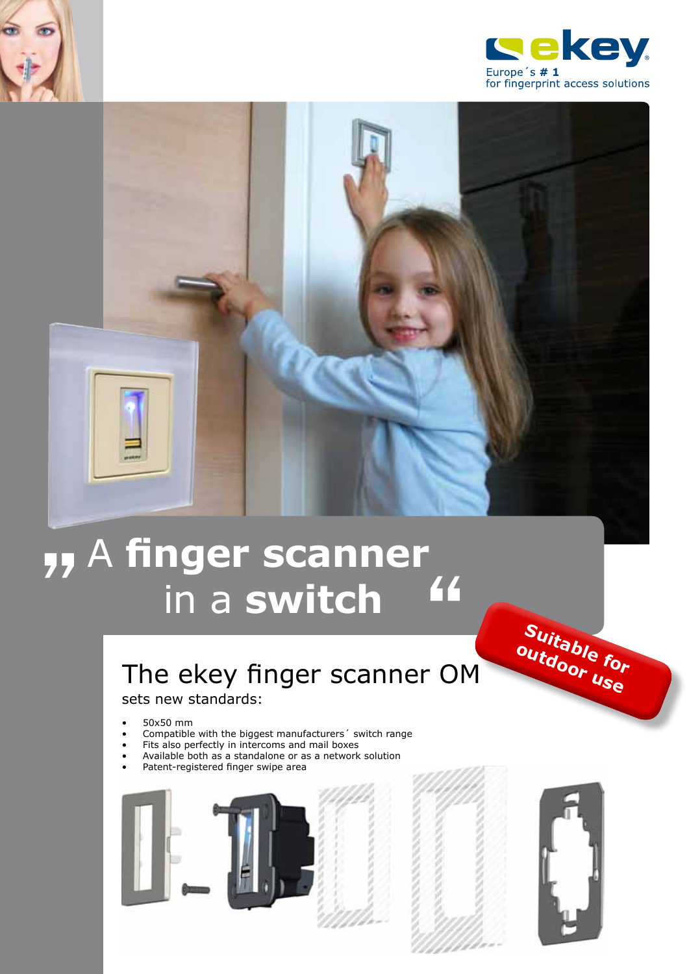



# A **finger scanner** in a **switch** y, A finger scanner<br>in a switch 44

## The ekey finger scanner OM

sets new standards:

- • 50x50 mm
- Compatible with the biggest manufacturers' switch range
- Fits also perfectly in intercoms and mail boxes
- Available both as a standalone or as a network solution
- Patent-registered finger swipe area







**Suitable for outdoor use**